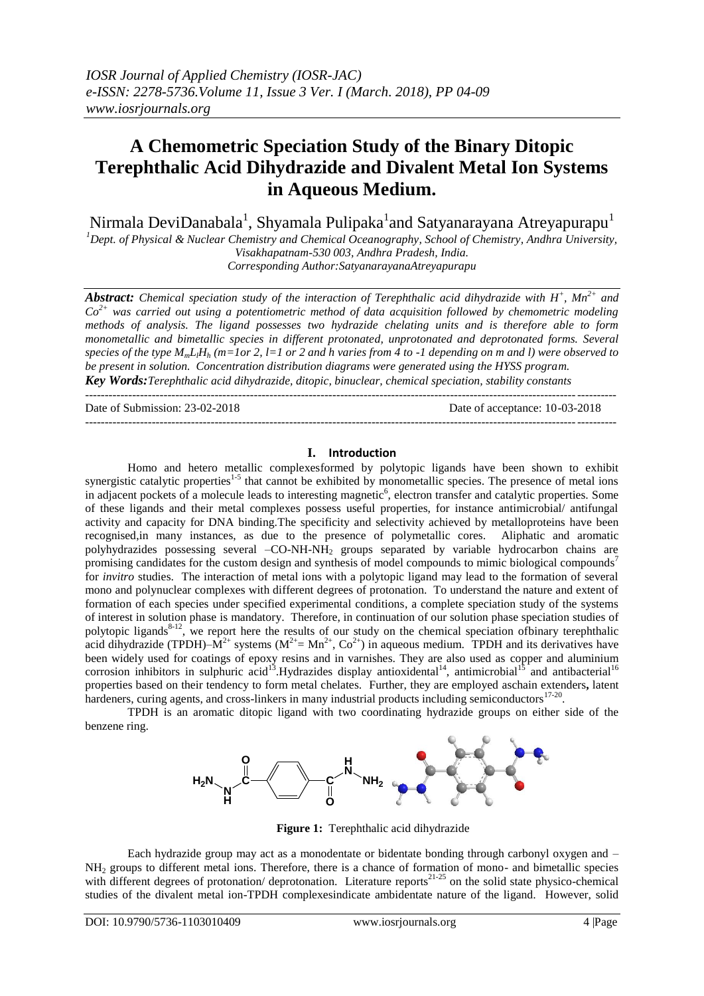# **A Chemometric Speciation Study of the Binary Ditopic Terephthalic Acid Dihydrazide and Divalent Metal Ion Systems in Aqueous Medium.**

Nirmala DeviDanabala $^{\rm l}$ , Shyamala Pulipaka $^{\rm l}$ and Satyanarayana Atreyapurapu $^{\rm l}$ 

*<sup>1</sup>Dept. of Physical & Nuclear Chemistry and Chemical Oceanography, School of Chemistry, Andhra University, Visakhapatnam-530 003, Andhra Pradesh, India.*

*Corresponding Author:SatyanarayanaAtreyapurapu*

*Abstract: Chemical speciation study of the interaction of Terephthalic acid dihydrazide with H<sup>+</sup> , Mn2+ and Co2+ was carried out using a potentiometric method of data acquisition followed by chemometric modeling methods of analysis. The ligand possesses two hydrazide chelating units and is therefore able to form monometallic and bimetallic species in different protonated, unprotonated and deprotonated forms. Several species of the type*  $M_m L H_h$  *(m=1or 2, l=1 or 2 and h varies from 4 to -1 depending on m and l) were observed to be present in solution. Concentration distribution diagrams were generated using the HYSS program. Key Words:Terephthalic acid dihydrazide, ditopic, binuclear, chemical speciation, stability constants*

---------------------------------------------------------------------------------------------------------------------------------------

Date of Submission: 23-02-2018 Date of acceptance: 10-03-2018 ---------------------------------------------------------------------------------------------------------------------------------------

### **I. Introduction**

Homo and hetero metallic complexesformed by polytopic ligands have been shown to exhibit synergistic catalytic properties<sup>1-5</sup> that cannot be exhibited by monometallic species. The presence of metal ions in adjacent pockets of a molecule leads to interesting magnetic<sup>6</sup>, electron transfer and catalytic properties. Some of these ligands and their metal complexes possess useful properties, for instance antimicrobial/ antifungal activity and capacity for DNA binding.The specificity and selectivity achieved by metalloproteins have been recognised,in many instances, as due to the presence of polymetallic cores. Aliphatic and aromatic polyhydrazides possessing several –CO-NH-NH<sub>2</sub> groups separated by variable hydrocarbon chains are promising candidates for the custom design and synthesis of model compounds to mimic biological compounds<sup>7</sup> for *invitro* studies. The interaction of metal ions with a polytopic ligand may lead to the formation of several mono and polynuclear complexes with different degrees of protonation. To understand the nature and extent of formation of each species under specified experimental conditions, a complete speciation study of the systems of interest in solution phase is mandatory. Therefore, in continuation of our solution phase speciation studies of polytopic ligands<sup>8-12</sup>, we report here the results of our study on the chemical speciation of binary terephthalic acid dihydrazide (TPDH)– $M^{2+}$  systems ( $M^{2+} = Mn^{2+}$ ,  $Co^{2+}$ ) in aqueous medium. TPDH and its derivatives have been widely used for coatings of epoxy resins and in varnishes. They are also used as copper and aluminium corrosion inhibitors in sulphuric acid<sup>13</sup>. Hydrazides display antioxidental<sup>14</sup>, antimicrobial<sup>15</sup> and antibacterial<sup>16</sup> properties based on their tendency to form metal chelates. Further, they are employed aschain extenders**,** latent hardeners, curing agents, and cross-linkers in many industrial products including semiconductors<sup>17-20</sup>.

TPDH is an aromatic ditopic ligand with two coordinating hydrazide groups on either side of the benzene ring.



**Figure 1:** Terephthalic acid dihydrazide

Each hydrazide group may act as a monodentate or bidentate bonding through carbonyl oxygen and – NH<sup>2</sup> groups to different metal ions. Therefore, there is a chance of formation of mono- and bimetallic species with different degrees of protonation/ deprotonation. Literature reports<sup>21-25</sup> on the solid state physico-chemical studies of the divalent metal ion-TPDH complexesindicate ambidentate nature of the ligand. However, solid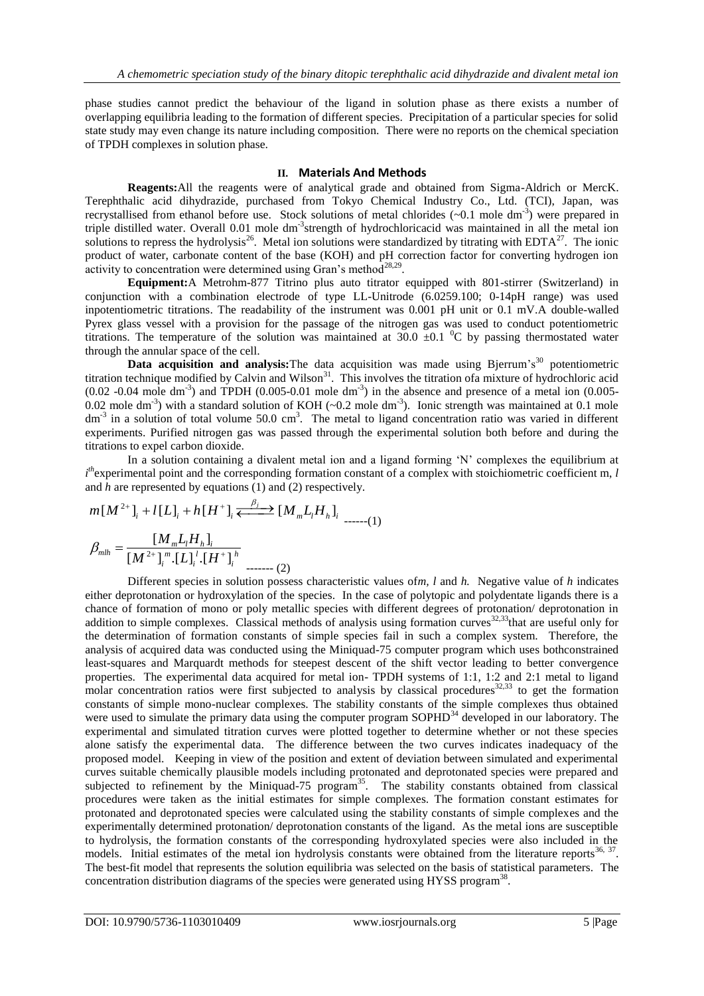phase studies cannot predict the behaviour of the ligand in solution phase as there exists a number of overlapping equilibria leading to the formation of different species. Precipitation of a particular species for solid state study may even change its nature including composition. There were no reports on the chemical speciation of TPDH complexes in solution phase.

## **II. Materials And Methods**

**Reagents:**All the reagents were of analytical grade and obtained from Sigma-Aldrich or MercK. Terephthalic acid dihydrazide, purchased from Tokyo Chemical Industry Co., Ltd. (TCI), Japan, was recrystallised from ethanol before use. Stock solutions of metal chlorides (~0.1 mole dm<sup>-3</sup>) were prepared in triple distilled water. Overall 0.01 mole dm<sup>-3</sup>strength of hydrochloricacid was maintained in all the metal ion solutions to repress the hydrolysis<sup>26</sup>. Metal ion solutions were standardized by titrating with EDTA<sup>27</sup>. The ionic product of water, carbonate content of the base (KOH) and pH correction factor for converting hydrogen ion activity to concentration were determined using Gran's method<sup>28,29</sup>.

**Equipment:**A Metrohm-877 Titrino plus auto titrator equipped with 801-stirrer (Switzerland) in conjunction with a combination electrode of type LL-Unitrode (6.0259.100; 0-14pH range) was used inpotentiometric titrations. The readability of the instrument was 0.001 pH unit or 0.1 mV.A double-walled Pyrex glass vessel with a provision for the passage of the nitrogen gas was used to conduct potentiometric titrations. The temperature of the solution was maintained at  $30.0 \pm 0.1$  <sup>0</sup>C by passing thermostated water through the annular space of the cell.

**Data acquisition and analysis:**The data acquisition was made using Bjerrum's<sup>30</sup> potentiometric titration technique modified by Calvin and Wilson<sup>31</sup>. This involves the titration ofa mixture of hydrochloric acid  $(0.02 - 0.04$  mole dm<sup>-3</sup>) and TPDH  $(0.005 - 0.01$  mole dm<sup>-3</sup>) in the absence and presence of a metal ion  $(0.005 - 0.01)$ 0.02 mole dm<sup>-3</sup>) with a standard solution of KOH ( $\sim$ 0.2 mole dm<sup>-3</sup>). Ionic strength was maintained at 0.1 mole  $dm^{-3}$  in a solution of total volume 50.0 cm<sup>3</sup>. The metal to ligand concentration ratio was varied in different experiments. Purified nitrogen gas was passed through the experimental solution both before and during the titrations to expel carbon dioxide.

In a solution containing a divalent metal ion and a ligand forming 'N' complexes the equilibrium at In a solution containing a divalent metal ion and a ligand forming 'N' complexes the equilibrium at  $i^{th}$  experimental point and the corresponding formation constant of a complex with stoichiometric coefficient m, *l* an and *h* are represented by equations (1) and (2) respectively.

$$
m[M^{2+}]_{i} + l[L]_{i} + h[H^{+}]_{i} \xleftarrow{\beta_{j}} [M_{m}L_{l}H_{h}]_{i}
$$
  

$$
\beta_{mlh} = \frac{[M_{m}L_{l}H_{h}]_{i}}{[M^{2+}]_{i}^{m}.[L]_{i}^{l}.[H^{+}]_{i}^{h}}
$$
  
........(2)

Different species in solution possess characteristic values of*m, l* and *h.* Negative value of *h* indicates either deprotonation or hydroxylation of the species. In the case of polytopic and polydentate ligands there is a chance of formation of mono or poly metallic species with different degrees of protonation/ deprotonation in addition to simple complexes. Classical methods of analysis using formation curves<sup>32,33</sup>that are useful only for the determination of formation constants of simple species fail in such a complex system. Therefore, the analysis of acquired data was conducted using the Miniquad-75 computer program which uses bothconstrained least-squares and Marquardt methods for steepest descent of the shift vector leading to better convergence properties. The experimental data acquired for metal ion- TPDH systems of 1:1, 1:2 and 2:1 metal to ligand molar concentration ratios were first subjected to analysis by classical procedures<sup>32,33</sup> to get the formation ratios were first subjected to analysis by classical procedures<sup>32,33</sup> constants of simple mono-nuclear complexes. The stability constants of the simple complexes thus obtained were used to simulate the primary data using the computer program SOPHD<sup>34</sup> developed in our laboratory. The experimental and simulated titration curves were plotted together to determine whether or not these species alone satisfy the experimental data. The difference between the two curves indicates inadequacy of the proposed model. Keeping in view of the position and extent of deviation between simulated and experimental curves suitable chemically plausible models including protonated and deprotonated species were prepared and subjected to refinement by the Miniquad-75 program<sup>35</sup>. The stability constants obtained from classical procedures were taken as the initial estimates for simple complexes. The formation constant estimates for protonated and deprotonated species were calculated using the stability constants of simple complexes and the experimentally determined protonation/ deprotonation constants of the ligand. As the metal ions are susceptible to hydrolysis, the formation constants of the corresponding hydroxylated species were also included in the models. Initial estimates of the metal ion hydrolysis constants were obtained from the literature reports<sup>36, 37</sup>. The best-fit model that represents the solution equilibria was selected on the basis of statistical parameters. The concentration distribution diagrams of the species were generated using HYSS program<sup>38</sup>.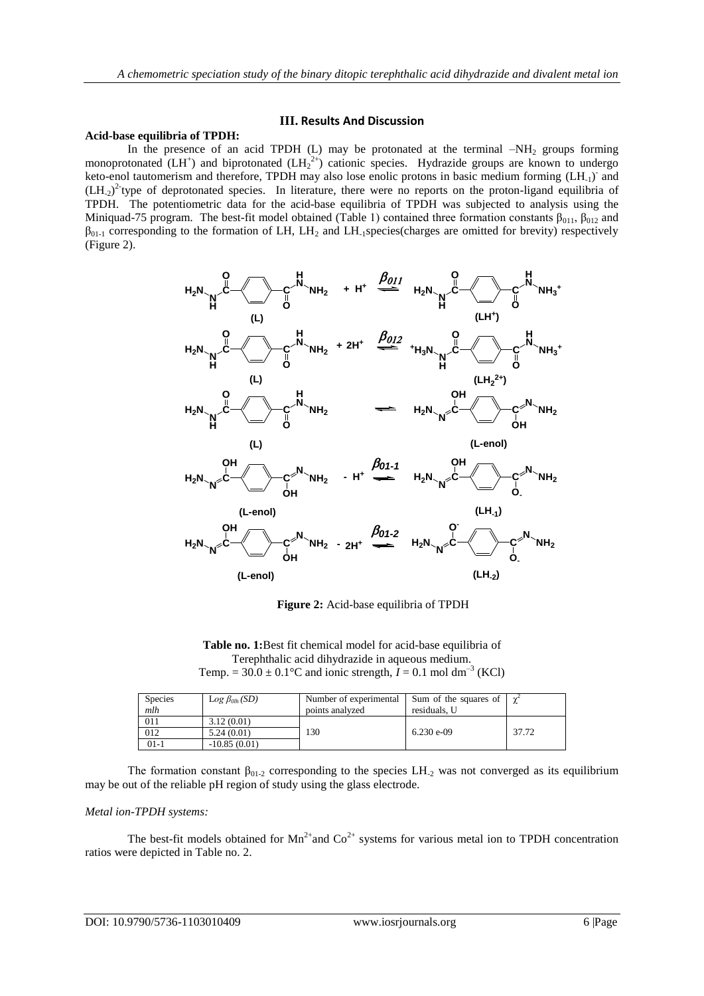## **III. Results And Discussion**

### **Acid-base equilibria of TPDH:**

In the presence of an acid TPDH (L) may be protonated at the terminal  $-NH<sub>2</sub>$  groups forming monoprotonated  $(LH^+)$  and biprotonated  $(LH_2^{2+})$  cationic species. Hydrazide groups are known to undergo keto-enol tautomerism and therefore, TPDH may also lose enolic protons in basic medium forming (LH<sub>-1</sub>) and  $(LH_{2})^{2}$  type of deprotonated species. In literature, there were no reports on the proton-ligand equilibria of TPDH. The potentiometric data for the acid-base equilibria of TPDH was subjected to analysis using the Miniquad-75 program. The best-fit model obtained (Table 1) contained three formation constants  $\beta_{011}$ ,  $\beta_{012}$  and  $\beta_{01-1}$  corresponding to the formation of LH, LH<sub>2</sub> and LH<sub>-1</sub>species(charges are omitted for brevity) respectively (Figure 2).



**Figure 2:** Acid-base equilibria of TPDH

**Table no. 1:**Best fit chemical model for acid-base equilibria of Terephthalic acid dihydrazide in aqueous medium. Temp. =  $30.0 \pm 0.1$ °C and ionic strength,  $I = 0.1$  mol dm<sup>-3</sup> (KCl)

| <b>Species</b><br>mlh | $Log$ $\beta_{Oh}$ (SD) | Number of experimental<br>points analyzed | Sum of the squares of<br>residuals. U |       |
|-----------------------|-------------------------|-------------------------------------------|---------------------------------------|-------|
| 011                   | 3.12(0.01)              |                                           |                                       |       |
| 012                   | 5.24(0.01)              | 130                                       | $6.230 e^{-0.09}$                     | 37.72 |
| 01-1                  | $-10.85(0.01)$          |                                           |                                       |       |

The formation constant  $\beta_{01-2}$  corresponding to the species LH<sub>-2</sub> was not converged as its equilibrium may be out of the reliable pH region of study using the glass electrode.

### *Metal ion-TPDH systems:*

The best-fit models obtained for  $Mn^{2+}$  and  $Co^{2+}$  systems for various metal ion to TPDH concentration ratios were depicted in Table no. 2.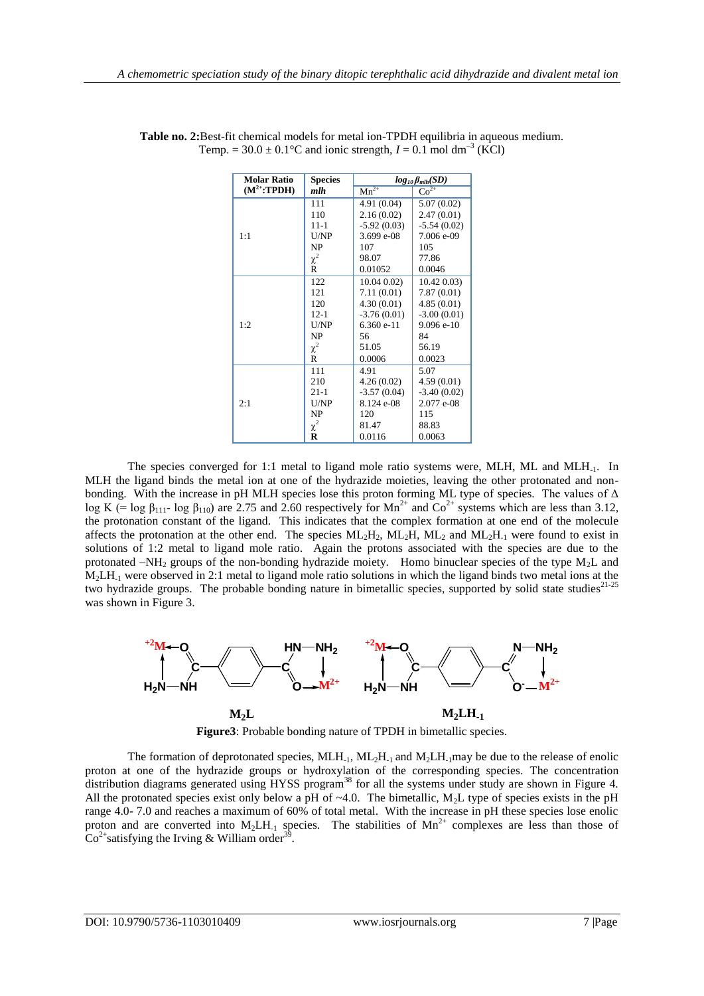| <b>Molar Ratio</b> | <b>Species</b> | $log_{10} \beta_{mlh}(SD)$    |               |
|--------------------|----------------|-------------------------------|---------------|
| $(M^{2+}:TPDH)$    | mlh            | $\overline{\mathrm{Mn}^{2+}}$ | $Co^{2+}$     |
|                    | 111            | 4.91(0.04)                    | 5.07 (0.02)   |
|                    | 110            | 2.16(0.02)                    | 2.47(0.01)    |
|                    | $11 - 1$       | $-5.92(0.03)$                 | $-5.54(0.02)$ |
| 1:1                | U/NP           | 3.699 e-08                    | 7.006 e-09    |
|                    | NP             | 107                           | 105           |
|                    | $\chi^2$       | 98.07                         | 77.86         |
|                    | R              | 0.01052                       | 0.0046        |
|                    | 122            | $10.04\ 0.02$                 | $10.42\,0.03$ |
|                    | 121            | 7.11(0.01)                    | 7.87(0.01)    |
|                    | 120            | 4.30(0.01)                    | 4.85(0.01)    |
|                    | $12-1$         | $-3.76(0.01)$                 | $-3.00(0.01)$ |
| 1:2                | U/NP           | 6.360 e-11                    | 9.096 e-10    |
|                    | NP             | 56                            | 84            |
|                    | $\chi^2$       | 51.05                         | 56.19         |
|                    | R              | 0.0006                        | 0.0023        |
|                    | 111            | 4.91                          | 5.07          |
|                    | 210            | 4.26(0.02)                    | 4.59(0.01)    |
|                    | $21 - 1$       | $-3.57(0.04)$                 | $-3.40(0.02)$ |
| 2:1                | U/NP           | 8.124 e-08                    | 2.077 e-08    |
|                    | <b>NP</b>      | 120                           | 115           |
|                    | $\chi^2$       | 81.47                         | 88.83         |
|                    | R              | 0.0116                        | 0.0063        |

**Table no. 2:**Best-fit chemical models for metal ion-TPDH equilibria in aqueous medium. Temp. =  $30.0 \pm 0.1$  °C and ionic strength,  $I = 0.1$  mol dm<sup>-3</sup> (KCl)

The species converged for 1:1 metal to ligand mole ratio systems were, MLH, ML and MLH-1. In MLH the ligand binds the metal ion at one of the hydrazide moieties, leaving the other protonated and nonbonding. With the increase in pH MLH species lose this proton forming ML type of species. The values of  $\Delta$ log K (= log  $\beta_{111}$ - log  $\beta_{110}$ ) are 2.75 and 2.60 respectively for Mn<sup>2+</sup> and Co<sup>2+</sup> systems which are less than 3.12, the protonation constant of the ligand. This indicates that the complex formation at one end of the molecule affects the protonation at the other end. The species  $ML_2H$ ,  $ML_2H$ ,  $ML_2$  and  $ML_2H_{-1}$  were found to exist in solutions of 1:2 metal to ligand mole ratio. Again the protons associated with the species are due to the protonated –NH<sub>2</sub> groups of the non-bonding hydrazide moiety. Homo binuclear species of the type M<sub>2</sub>L and M<sub>2</sub>LH<sub>-1</sub> were observed in 2:1 metal to ligand mole ratio solutions in which the ligand binds two metal ions at the two hydrazide groups. The probable bonding nature in bimetallic species, supported by solid state studies<sup>21-25</sup> was shown in Figure 3.



**Figure3**: Probable bonding nature of TPDH in bimetallic species.

The formation of deprotonated species,  $MLH_{-1}$ ,  $ML_2H_{-1}$  and  $M_2LH_{-1}$  may be due to the release of enolic proton at one of the hydrazide groups or hydroxylation of the corresponding species. The concentration distribution diagrams generated using HYSS program<sup>38</sup> for all the systems under study are shown in Figure 4. All the protonated species exist only below a pH of  $\sim$ 4.0. The bimetallic, M<sub>2</sub>L type of species exists in the pH range 4.0- 7.0 and reaches a maximum of 60% of total metal. With the increase in pH these species lose enolic proton and are converted into  $M_2LH_{1}$  species. The stabilities of  $Mn^{2+}$  complexes are less than those of  $\text{Co}^{2+}$ satisfying the Irving & William order<sup>39</sup>.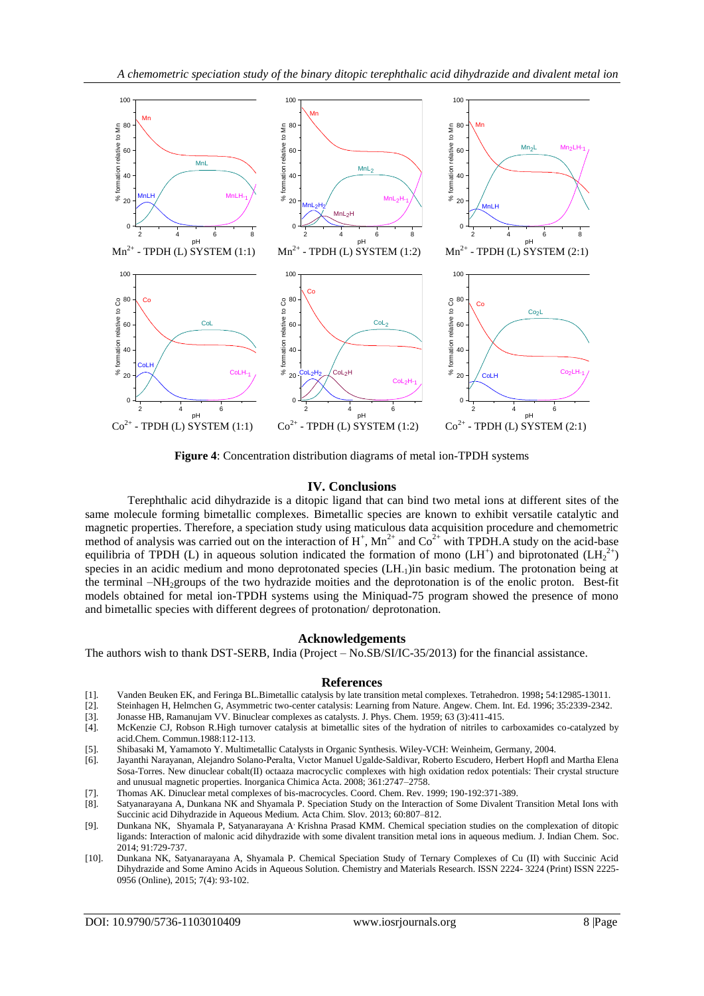

**Figure 4**: Concentration distribution diagrams of metal ion-TPDH systems

## **IV. Conclusions**

Terephthalic acid dihydrazide is a ditopic ligand that can bind two metal ions at different sites of the same molecule forming bimetallic complexes. Bimetallic species are known to exhibit versatile catalytic and magnetic properties. Therefore, a speciation study using maticulous data acquisition procedure and chemometric method of analysis was carried out on the interaction of  $H^+$ ,  $Mn^{2+}$  and  $Co^{2+}$  with TPDH.A study on the acid-base equilibria of TPDH (L) in aqueous solution indicated the formation of mono (LH<sup>+</sup>) and biprotonated (LH<sub>2</sub><sup>2+</sup>) species in an acidic medium and mono deprotonated species (LH<sub>-1</sub>)in basic medium. The protonation being at the terminal –NH2groups of the two hydrazide moities and the deprotonation is of the enolic proton. Best-fit models obtained for metal ion-TPDH systems using the Miniquad-75 program showed the presence of mono and bimetallic species with different degrees of protonation/ deprotonation.

## **Acknowledgements**

The authors wish to thank DST-SERB, India (Project – No.SB/SI/IC-35/2013) for the financial assistance.

#### **References**

- [1]. Vanden Beuken EK, and Feringa BL.Bimetallic catalysis by late transition metal complexes. Tetrahedron. 1998**;** 54:12985-13011.
- [2]. Steinhagen H, Helmchen G, Asymmetric two-center catalysis: Learning from Nature. Angew. Chem. Int. Ed. 1996; 35:2339-2342.
- [3]. Jonasse HB, Ramanujam VV. Binuclear complexes as catalysts. J. Phys. Chem. 1959; 63 (3):411-415.
- McKenzie CJ, Robson R.High turnover catalysis at bimetallic sites of the hydration of nitriles to carboxamides co-catalyzed by acid.Chem. Commun.1988:112-113.
- [5]. Shibasaki M, Yamamoto Y. Multimetallic Catalysts in Organic Synthesis. Wiley-VCH: Weinheim, Germany, 2004.
- [6]. Jayanthi Narayanan, Alejandro Solano-Peralta, Vıctor Manuel Ugalde-Saldivar, Roberto Escudero, Herbert Hopfl and Martha Elena Sosa-Torres. New dinuclear cobalt(II) octaaza macrocyclic complexes with high oxidation redox potentials: Their crystal structure and unusual magnetic properties. Inorganica Chimica Acta. 2008; 361:2747–2758.
- [7]. Thomas AK. Dinuclear metal complexes of bis-macrocycles. Coord. Chem. Rev. 1999; 190-192:371-389.
- [8]. Satyanarayana A, Dunkana NK and Shyamala P. Speciation Study on the Interaction of Some Divalent Transition Metal Ions with Succinic acid Dihydrazide in Aqueous Medium. Acta Chim. Slov. 2013; 60:807–812.
- [9]. Dunkana NK, Shyamala P, Satyanarayana A, Krishna Prasad KMM. Chemical speciation studies on the complexation of ditopic ligands: Interaction of malonic acid dihydrazide with some divalent transition metal ions in aqueous medium. J. Indian Chem. Soc. 2014; 91:729-737.
- [10]. Dunkana NK, Satyanarayana A, Shyamala P. Chemical Speciation Study of Ternary Complexes of Cu (II) with Succinic Acid Dihydrazide and Some Amino Acids in Aqueous Solution. Chemistry and Materials Research. ISSN 2224- 3224 (Print) ISSN 2225- 0956 (Online), 2015; 7(4): 93-102.